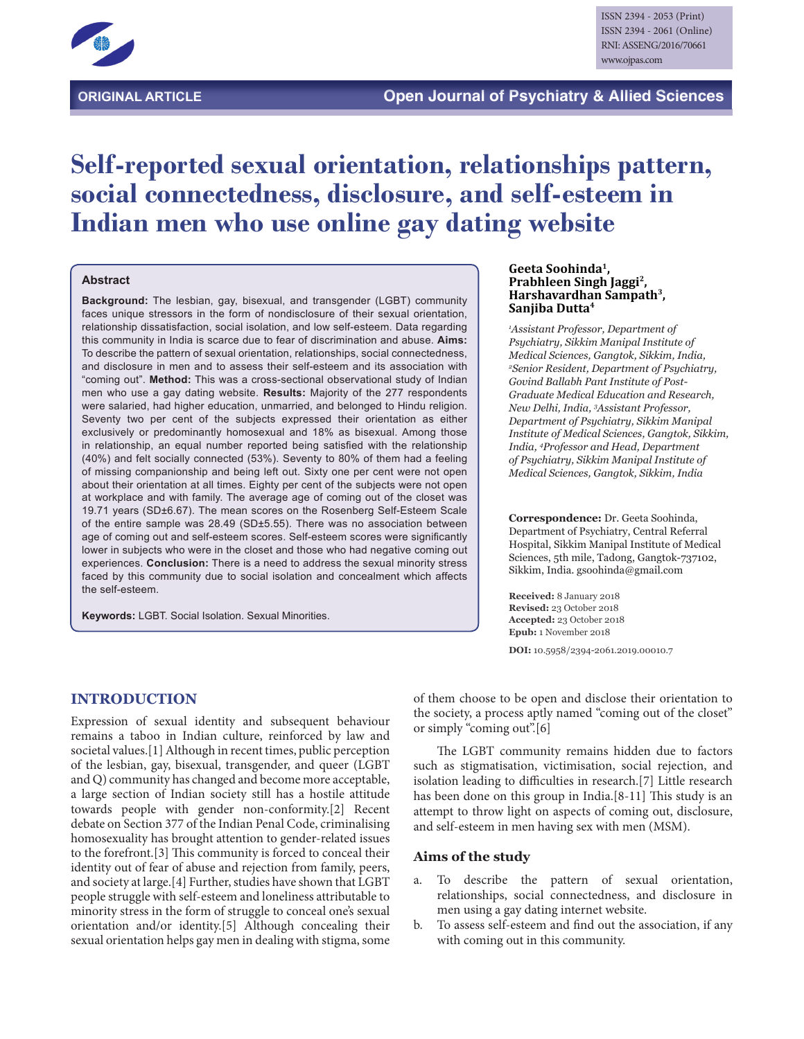

# **Self-reported sexual orientation, relationships pattern, social connectedness, disclosure, and self-esteem in Indian men who use online gay dating website**

#### **Abstract**

**Background:** The lesbian, gay, bisexual, and transgender (LGBT) community faces unique stressors in the form of nondisclosure of their sexual orientation, relationship dissatisfaction, social isolation, and low self-esteem. Data regarding this community in India is scarce due to fear of discrimination and abuse. **Aims:** To describe the pattern of sexual orientation, relationships, social connectedness, and disclosure in men and to assess their self-esteem and its association with "coming out". **Method:** This was a cross-sectional observational study of Indian men who use a gay dating website. **Results:** Majority of the 277 respondents were salaried, had higher education, unmarried, and belonged to Hindu religion. Seventy two per cent of the subjects expressed their orientation as either exclusively or predominantly homosexual and 18% as bisexual. Among those in relationship, an equal number reported being satisfied with the relationship (40%) and felt socially connected (53%). Seventy to 80% of them had a feeling of missing companionship and being left out. Sixty one per cent were not open about their orientation at all times. Eighty per cent of the subjects were not open at workplace and with family. The average age of coming out of the closet was 19.71 years (SD±6.67). The mean scores on the Rosenberg Self-Esteem Scale of the entire sample was 28.49 (SD±5.55). There was no association between age of coming out and self-esteem scores. Self-esteem scores were significantly lower in subjects who were in the closet and those who had negative coming out experiences. **Conclusion:** There is a need to address the sexual minority stress faced by this community due to social isolation and concealment which affects the self-esteem.

**Keywords:** LGBT. Social Isolation. Sexual Minorities.

#### **Geeta Soohinda1, Prabhleen Singh Jaggi2, Harshavardhan Sampath3, Sanjiba Dutta4**

*1 Assistant Professor, Department of Psychiatry, Sikkim Manipal Institute of Medical Sciences, Gangtok, Sikkim, India, 2 Senior Resident, Department of Psychiatry, Govind Ballabh Pant Institute of Post-Graduate Medical Education and Research, New Delhi, India, 3 Assistant Professor, Department of Psychiatry, Sikkim Manipal Institute of Medical Sciences, Gangtok, Sikkim, India, 4 Professor and Head, Department of Psychiatry, Sikkim Manipal Institute of Medical Sciences, Gangtok, Sikkim, India*

**Correspondence:** Dr. Geeta Soohinda, Department of Psychiatry, Central Referral Hospital, Sikkim Manipal Institute of Medical Sciences, 5th mile, Tadong, Gangtok-737102, Sikkim, India. gsoohinda@gmail.com

**Received:** 8 January 2018 **Revised:** 23 October 2018 **Accepted:** 23 October 2018 **Epub:** 1 November 2018

**DOI:** 10.5958/2394-2061.2019.00010.7

#### **INTRODUCTION**

Expression of sexual identity and subsequent behaviour remains a taboo in Indian culture, reinforced by law and societal values.[1] Although in recent times, public perception of the lesbian, gay, bisexual, transgender, and queer (LGBT and Q) community has changed and become more acceptable, a large section of Indian society still has a hostile attitude towards people with gender non-conformity.[2] Recent debate on Section 377 of the Indian Penal Code, criminalising homosexuality has brought attention to gender-related issues to the forefront.[3] This community is forced to conceal their identity out of fear of abuse and rejection from family, peers, and society at large.[4] Further, studies have shown that LGBT people struggle with self-esteem and loneliness attributable to minority stress in the form of struggle to conceal one's sexual orientation and/or identity.[5] Although concealing their sexual orientation helps gay men in dealing with stigma, some

of them choose to be open and disclose their orientation to the society, a process aptly named "coming out of the closet" or simply "coming out".[6]

The LGBT community remains hidden due to factors such as stigmatisation, victimisation, social rejection, and isolation leading to difficulties in research.[7] Little research has been done on this group in India.[8-11] This study is an attempt to throw light on aspects of coming out, disclosure, and self-esteem in men having sex with men (MSM).

#### **Aims of the study**

- a. To describe the pattern of sexual orientation, relationships, social connectedness, and disclosure in men using a gay dating internet website.
- b. To assess self-esteem and find out the association, if any with coming out in this community.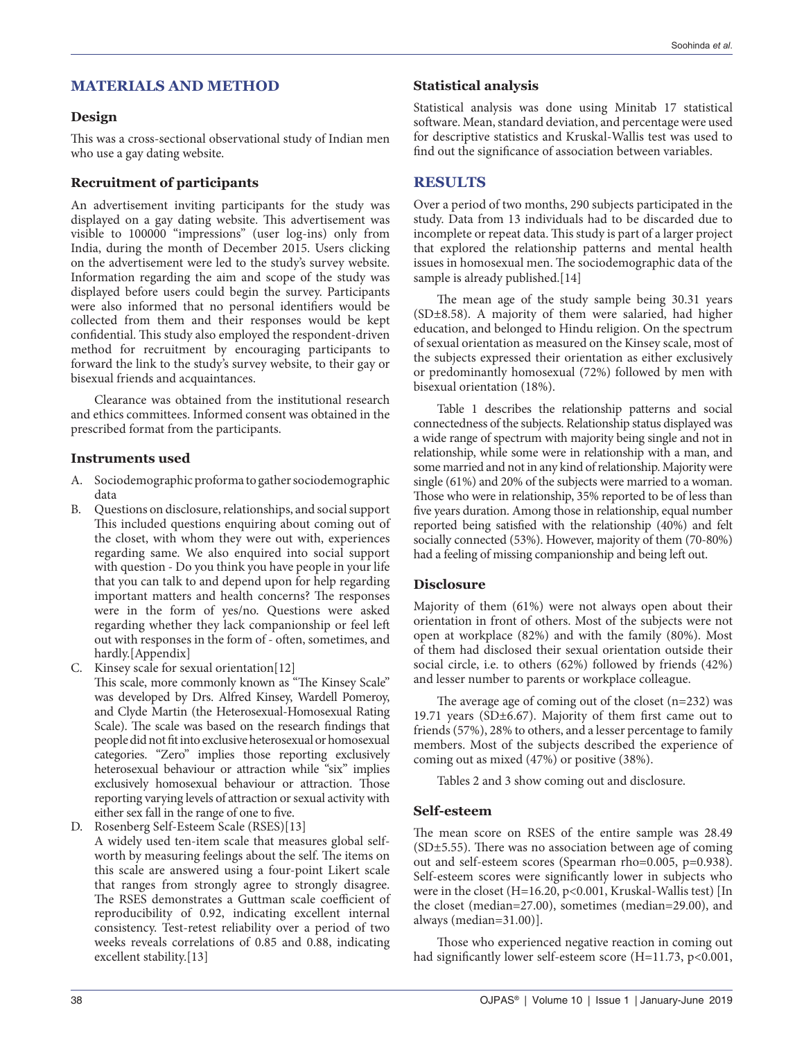# **MATERIALS AND METHOD**

## **Design**

This was a cross-sectional observational study of Indian men who use a gay dating website.

## **Recruitment of participants**

An advertisement inviting participants for the study was displayed on a gay dating website. This advertisement was visible to 100000 "impressions" (user log-ins) only from India, during the month of December 2015. Users clicking on the advertisement were led to the study's survey website. Information regarding the aim and scope of the study was displayed before users could begin the survey. Participants were also informed that no personal identifiers would be collected from them and their responses would be kept confidential. This study also employed the respondent-driven method for recruitment by encouraging participants to forward the link to the study's survey website, to their gay or bisexual friends and acquaintances.

Clearance was obtained from the institutional research and ethics committees. Informed consent was obtained in the prescribed format from the participants.

## **Instruments used**

- A. Sociodemographic proforma to gather sociodemographic data
- B. Questions on disclosure, relationships, and social support This included questions enquiring about coming out of the closet, with whom they were out with, experiences regarding same. We also enquired into social support with question - Do you think you have people in your life that you can talk to and depend upon for help regarding important matters and health concerns? The responses were in the form of yes/no. Questions were asked regarding whether they lack companionship or feel left out with responses in the form of - often, sometimes, and hardly.[Appendix]
- C. Kinsey scale for sexual orientation[12]

This scale, more commonly known as "The Kinsey Scale" was developed by Drs. Alfred Kinsey, Wardell Pomeroy, and Clyde Martin (the Heterosexual-Homosexual Rating Scale). The scale was based on the research findings that people did not fit into exclusive heterosexual or homosexual categories. "Zero" implies those reporting exclusively heterosexual behaviour or attraction while "six" implies exclusively homosexual behaviour or attraction. Those reporting varying levels of attraction or sexual activity with either sex fall in the range of one to five.

D. Rosenberg Self-Esteem Scale (RSES)[13]

A widely used ten-item scale that measures global selfworth by measuring feelings about the self. The items on this scale are answered using a four-point Likert scale that ranges from strongly agree to strongly disagree. The RSES demonstrates a Guttman scale coefficient of reproducibility of 0.92, indicating excellent internal consistency. Test-retest reliability over a period of two weeks reveals correlations of 0.85 and 0.88, indicating excellent stability.[13]

# **Statistical analysis**

Statistical analysis was done using Minitab 17 statistical software. Mean, standard deviation, and percentage were used for descriptive statistics and Kruskal-Wallis test was used to find out the significance of association between variables.

# **RESULTS**

Over a period of two months, 290 subjects participated in the study. Data from 13 individuals had to be discarded due to incomplete or repeat data. This study is part of a larger project that explored the relationship patterns and mental health issues in homosexual men. The sociodemographic data of the sample is already published.[14]

The mean age of the study sample being 30.31 years (SD±8.58). A majority of them were salaried, had higher education, and belonged to Hindu religion. On the spectrum of sexual orientation as measured on the Kinsey scale, most of the subjects expressed their orientation as either exclusively or predominantly homosexual (72%) followed by men with bisexual orientation (18%).

Table 1 describes the relationship patterns and social connectedness of the subjects. Relationship status displayed was a wide range of spectrum with majority being single and not in relationship, while some were in relationship with a man, and some married and not in any kind of relationship. Majority were single (61%) and 20% of the subjects were married to a woman. Those who were in relationship, 35% reported to be of less than five years duration. Among those in relationship, equal number reported being satisfied with the relationship (40%) and felt socially connected (53%). However, majority of them (70-80%) had a feeling of missing companionship and being left out.

# **Disclosure**

Majority of them (61%) were not always open about their orientation in front of others. Most of the subjects were not open at workplace (82%) and with the family (80%). Most of them had disclosed their sexual orientation outside their social circle, i.e. to others (62%) followed by friends (42%) and lesser number to parents or workplace colleague.

The average age of coming out of the closet  $(n=232)$  was 19.71 years (SD±6.67). Majority of them first came out to friends (57%), 28% to others, and a lesser percentage to family members. Most of the subjects described the experience of coming out as mixed (47%) or positive (38%).

Tables 2 and 3 show coming out and disclosure.

# **Self-esteem**

The mean score on RSES of the entire sample was 28.49 (SD±5.55). There was no association between age of coming out and self-esteem scores (Spearman rho=0.005, p=0.938). Self-esteem scores were significantly lower in subjects who were in the closet (H=16.20, p<0.001, Kruskal-Wallis test) [In the closet (median=27.00), sometimes (median=29.00), and always (median=31.00)].

Those who experienced negative reaction in coming out had significantly lower self-esteem score (H=11.73, p<0.001,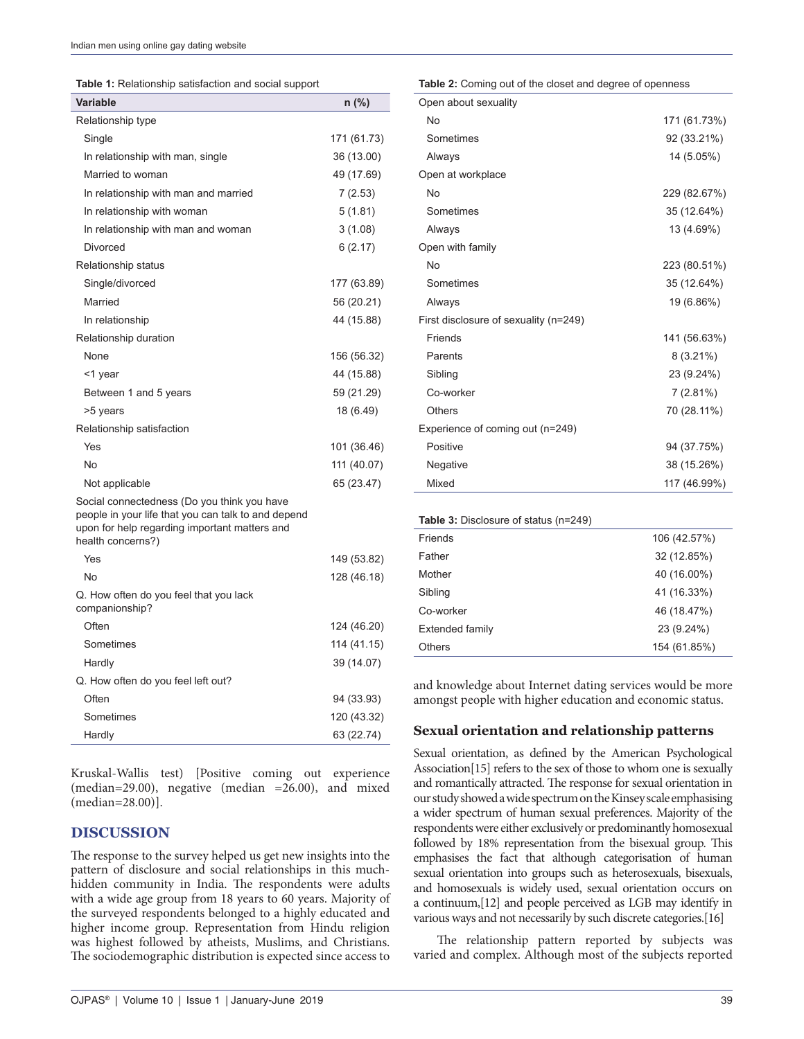| Table 1: Relationship satisfaction and social support |  |
|-------------------------------------------------------|--|
|-------------------------------------------------------|--|

| Variable                                                                                                                                                                 | n (%)       |
|--------------------------------------------------------------------------------------------------------------------------------------------------------------------------|-------------|
| Relationship type                                                                                                                                                        |             |
| Single                                                                                                                                                                   | 171 (61.73) |
| In relationship with man, single                                                                                                                                         | 36 (13.00)  |
| Married to woman                                                                                                                                                         | 49 (17.69)  |
| In relationship with man and married                                                                                                                                     | 7(2.53)     |
| In relationship with woman                                                                                                                                               | 5(1.81)     |
| In relationship with man and woman                                                                                                                                       | 3(1.08)     |
| Divorced                                                                                                                                                                 | 6(2.17)     |
| Relationship status                                                                                                                                                      |             |
| Single/divorced                                                                                                                                                          | 177 (63.89) |
| Married                                                                                                                                                                  | 56 (20.21)  |
| In relationship                                                                                                                                                          | 44 (15.88)  |
| Relationship duration                                                                                                                                                    |             |
| None                                                                                                                                                                     | 156 (56.32) |
| <1 year                                                                                                                                                                  | 44 (15.88)  |
| Between 1 and 5 years                                                                                                                                                    | 59 (21.29)  |
| >5 years                                                                                                                                                                 | 18 (6.49)   |
| Relationship satisfaction                                                                                                                                                |             |
| Yes                                                                                                                                                                      | 101 (36.46) |
| No                                                                                                                                                                       | 111 (40.07) |
| Not applicable                                                                                                                                                           | 65 (23.47)  |
| Social connectedness (Do you think you have<br>people in your life that you can talk to and depend<br>upon for help regarding important matters and<br>health concerns?) |             |
| Yes                                                                                                                                                                      | 149 (53.82) |
| No                                                                                                                                                                       | 128 (46.18) |
| Q. How often do you feel that you lack<br>companionship?                                                                                                                 |             |
| Often                                                                                                                                                                    | 124 (46.20) |
| Sometimes                                                                                                                                                                | 114 (41.15) |
| Hardly                                                                                                                                                                   | 39 (14.07)  |
| Q. How often do you feel left out?                                                                                                                                       |             |
| Often                                                                                                                                                                    | 94 (33.93)  |
| Sometimes                                                                                                                                                                | 120 (43.32) |
| Hardly                                                                                                                                                                   | 63 (22.74)  |
|                                                                                                                                                                          |             |

Kruskal-Wallis test) [Positive coming out experience (median=29.00), negative (median =26.00), and mixed (median=28.00)].

## **DISCUSSION**

The response to the survey helped us get new insights into the pattern of disclosure and social relationships in this muchhidden community in India. The respondents were adults with a wide age group from 18 years to 60 years. Majority of the surveyed respondents belonged to a highly educated and higher income group. Representation from Hindu religion was highest followed by atheists, Muslims, and Christians. The sociodemographic distribution is expected since access to **Table 2:** Coming out of the closet and degree of openness

| Open about sexuality                  |              |
|---------------------------------------|--------------|
| No                                    | 171 (61.73%) |
| Sometimes                             | 92 (33.21%)  |
| Always                                | 14 (5.05%)   |
| Open at workplace                     |              |
| <b>No</b>                             | 229 (82.67%) |
| Sometimes                             | 35 (12.64%)  |
| Always                                | 13 (4.69%)   |
| Open with family                      |              |
| No                                    | 223 (80.51%) |
| Sometimes                             | 35 (12.64%)  |
| Always                                | 19 (6.86%)   |
| First disclosure of sexuality (n=249) |              |
| Friends                               | 141 (56.63%) |
| Parents                               | $8(3.21\%)$  |
| Sibling                               | 23 (9.24%)   |
| Co-worker                             | $7(2.81\%)$  |
| Others                                | 70 (28.11%)  |
| Experience of coming out (n=249)      |              |
| Positive                              | 94 (37.75%)  |
| Negative                              | 38 (15.26%)  |
| Mixed                                 | 117 (46.99%) |
|                                       |              |
| Table 3: Disclosure of status (n=249) |              |
| Friends                               | 106 (42.57%) |
| Father                                | 32 (12.85%)  |

| <b>Others</b>   | 154 (61.85%) |
|-----------------|--------------|
| Extended family | 23 (9.24%)   |
| Co-worker       | 46 (18.47%)  |
| Sibling         | 41 (16.33%)  |
| Mother          | 40 (16.00%)  |
| Father          | 32 (12.85%)  |
|                 |              |

and knowledge about Internet dating services would be more amongst people with higher education and economic status.

#### **Sexual orientation and relationship patterns**

Sexual orientation, as defined by the American Psychological Association[15] refers to the sex of those to whom one is sexually and romantically attracted. The response for sexual orientation in our study showed a wide spectrum on the Kinsey scale emphasising a wider spectrum of human sexual preferences. Majority of the respondents were either exclusively or predominantly homosexual followed by 18% representation from the bisexual group. This emphasises the fact that although categorisation of human sexual orientation into groups such as heterosexuals, bisexuals, and homosexuals is widely used, sexual orientation occurs on a continuum,[12] and people perceived as LGB may identify in various ways and not necessarily by such discrete categories.[16]

The relationship pattern reported by subjects was varied and complex. Although most of the subjects reported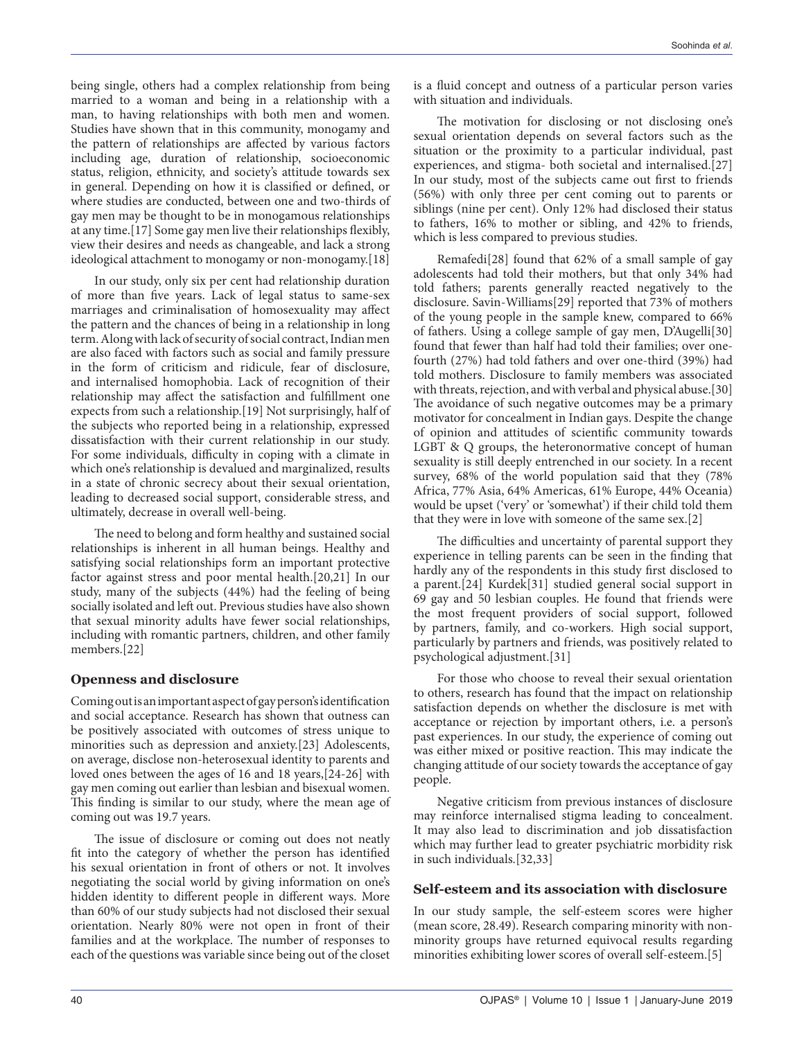being single, others had a complex relationship from being married to a woman and being in a relationship with a man, to having relationships with both men and women. Studies have shown that in this community, monogamy and the pattern of relationships are affected by various factors including age, duration of relationship, socioeconomic status, religion, ethnicity, and society's attitude towards sex in general. Depending on how it is classified or defined, or where studies are conducted, between one and two-thirds of gay men may be thought to be in monogamous relationships at any time.[17] Some gay men live their relationships flexibly, view their desires and needs as changeable, and lack a strong ideological attachment to monogamy or non-monogamy.[18]

In our study, only six per cent had relationship duration of more than five years. Lack of legal status to same-sex marriages and criminalisation of homosexuality may affect the pattern and the chances of being in a relationship in long term. Along with lack of security of social contract, Indian men are also faced with factors such as social and family pressure in the form of criticism and ridicule, fear of disclosure, and internalised homophobia. Lack of recognition of their relationship may affect the satisfaction and fulfillment one expects from such a relationship.[19] Not surprisingly, half of the subjects who reported being in a relationship, expressed dissatisfaction with their current relationship in our study. For some individuals, difficulty in coping with a climate in which one's relationship is devalued and marginalized, results in a state of chronic secrecy about their sexual orientation, leading to decreased social support, considerable stress, and ultimately, decrease in overall well-being.

The need to belong and form healthy and sustained social relationships is inherent in all human beings. Healthy and satisfying social relationships form an important protective factor against stress and poor mental health.[20,21] In our study, many of the subjects (44%) had the feeling of being socially isolated and left out. Previous studies have also shown that sexual minority adults have fewer social relationships, including with romantic partners, children, and other family members.[22]

# **Openness and disclosure**

Coming out is an important aspect of gay person's identification and social acceptance. Research has shown that outness can be positively associated with outcomes of stress unique to minorities such as depression and anxiety.[23] Adolescents, on average, disclose non-heterosexual identity to parents and loved ones between the ages of 16 and 18 years,[24-26] with gay men coming out earlier than lesbian and bisexual women. This finding is similar to our study, where the mean age of coming out was 19.7 years.

The issue of disclosure or coming out does not neatly fit into the category of whether the person has identified his sexual orientation in front of others or not. It involves negotiating the social world by giving information on one's hidden identity to different people in different ways. More than 60% of our study subjects had not disclosed their sexual orientation. Nearly 80% were not open in front of their families and at the workplace. The number of responses to each of the questions was variable since being out of the closet

is a fluid concept and outness of a particular person varies with situation and individuals.

The motivation for disclosing or not disclosing one's sexual orientation depends on several factors such as the situation or the proximity to a particular individual, past experiences, and stigma- both societal and internalised.[27] In our study, most of the subjects came out first to friends (56%) with only three per cent coming out to parents or siblings (nine per cent). Only 12% had disclosed their status to fathers, 16% to mother or sibling, and 42% to friends, which is less compared to previous studies.

Remafedi[28] found that 62% of a small sample of gay adolescents had told their mothers, but that only 34% had told fathers; parents generally reacted negatively to the disclosure. Savin-Williams[29] reported that 73% of mothers of the young people in the sample knew, compared to 66% of fathers. Using a college sample of gay men, D'Augelli[30] found that fewer than half had told their families; over onefourth (27%) had told fathers and over one-third (39%) had told mothers. Disclosure to family members was associated with threats, rejection, and with verbal and physical abuse.[30] The avoidance of such negative outcomes may be a primary motivator for concealment in Indian gays. Despite the change of opinion and attitudes of scientific community towards LGBT & Q groups, the heteronormative concept of human sexuality is still deeply entrenched in our society. In a recent survey, 68% of the world population said that they (78% Africa, 77% Asia, 64% Americas, 61% Europe, 44% Oceania) would be upset ('very' or 'somewhat') if their child told them that they were in love with someone of the same sex.[2]

The difficulties and uncertainty of parental support they experience in telling parents can be seen in the finding that hardly any of the respondents in this study first disclosed to a parent.[24] Kurdek[31] studied general social support in 69 gay and 50 lesbian couples. He found that friends were the most frequent providers of social support, followed by partners, family, and co-workers. High social support, particularly by partners and friends, was positively related to psychological adjustment.[31]

For those who choose to reveal their sexual orientation to others, research has found that the impact on relationship satisfaction depends on whether the disclosure is met with acceptance or rejection by important others, i.e. a person's past experiences. In our study, the experience of coming out was either mixed or positive reaction. This may indicate the changing attitude of our society towards the acceptance of gay people.

Negative criticism from previous instances of disclosure may reinforce internalised stigma leading to concealment. It may also lead to discrimination and job dissatisfaction which may further lead to greater psychiatric morbidity risk in such individuals.[32,33]

## **Self-esteem and its association with disclosure**

In our study sample, the self-esteem scores were higher (mean score, 28.49). Research comparing minority with nonminority groups have returned equivocal results regarding minorities exhibiting lower scores of overall self-esteem.[5]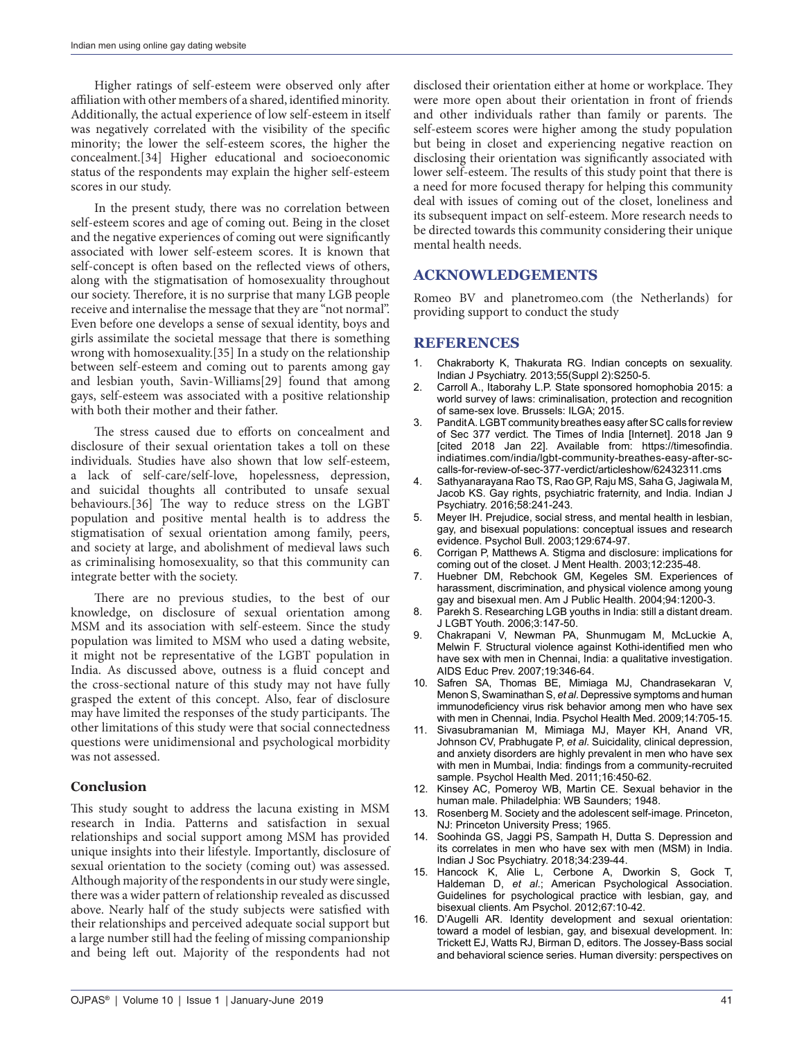Higher ratings of self-esteem were observed only after affiliation with other members of a shared, identified minority. Additionally, the actual experience of low self-esteem in itself was negatively correlated with the visibility of the specific minority; the lower the self-esteem scores, the higher the concealment.[34] Higher educational and socioeconomic status of the respondents may explain the higher self-esteem scores in our study.

In the present study, there was no correlation between self-esteem scores and age of coming out. Being in the closet and the negative experiences of coming out were significantly associated with lower self-esteem scores. It is known that self-concept is often based on the reflected views of others, along with the stigmatisation of homosexuality throughout our society. Therefore, it is no surprise that many LGB people receive and internalise the message that they are "not normal". Even before one develops a sense of sexual identity, boys and girls assimilate the societal message that there is something wrong with homosexuality.[35] In a study on the relationship between self-esteem and coming out to parents among gay and lesbian youth, Savin-Williams[29] found that among gays, self-esteem was associated with a positive relationship with both their mother and their father.

The stress caused due to efforts on concealment and disclosure of their sexual orientation takes a toll on these individuals. Studies have also shown that low self-esteem, a lack of self-care/self-love, hopelessness, depression, and suicidal thoughts all contributed to unsafe sexual behaviours.[36] The way to reduce stress on the LGBT population and positive mental health is to address the stigmatisation of sexual orientation among family, peers, and society at large, and abolishment of medieval laws such as criminalising homosexuality, so that this community can integrate better with the society.

There are no previous studies, to the best of our knowledge, on disclosure of sexual orientation among MSM and its association with self-esteem. Since the study population was limited to MSM who used a dating website, it might not be representative of the LGBT population in India. As discussed above, outness is a fluid concept and the cross-sectional nature of this study may not have fully grasped the extent of this concept. Also, fear of disclosure may have limited the responses of the study participants. The other limitations of this study were that social connectedness questions were unidimensional and psychological morbidity was not assessed.

## **Conclusion**

This study sought to address the lacuna existing in MSM research in India. Patterns and satisfaction in sexual relationships and social support among MSM has provided unique insights into their lifestyle. Importantly, disclosure of sexual orientation to the society (coming out) was assessed. Although majority of the respondents in our study were single, there was a wider pattern of relationship revealed as discussed above. Nearly half of the study subjects were satisfied with their relationships and perceived adequate social support but a large number still had the feeling of missing companionship and being left out. Majority of the respondents had not

disclosed their orientation either at home or workplace. They were more open about their orientation in front of friends and other individuals rather than family or parents. The self-esteem scores were higher among the study population but being in closet and experiencing negative reaction on disclosing their orientation was significantly associated with lower self-esteem. The results of this study point that there is a need for more focused therapy for helping this community deal with issues of coming out of the closet, loneliness and its subsequent impact on self-esteem. More research needs to be directed towards this community considering their unique mental health needs.

## **ACKNOWLEDGEMENTS**

Romeo BV and planetromeo.com (the Netherlands) for providing support to conduct the study

#### **REFERENCES**

- 1. Chakraborty K, Thakurata RG. Indian concepts on sexuality. Indian J Psychiatry. 2013;55(Suppl 2):S250-5.
- 2. Carroll A., Itaborahy L.P. State sponsored homophobia 2015: a world survey of laws: criminalisation, protection and recognition of same-sex love. Brussels: ILGA; 2015.
- Pandit A. LGBT community breathes easy after SC calls for review of Sec 377 verdict. The Times of India [Internet]. 2018 Jan 9 [cited 2018 Jan 22]. Available from: https://timesofindia. indiatimes.com/india/lgbt-community-breathes-easy-after-sccalls-for-review-of-sec-377-verdict/articleshow/62432311.cms
- 4. Sathyanarayana Rao TS, Rao GP, Raju MS, Saha G, Jagiwala M, Jacob KS. Gay rights, psychiatric fraternity, and India. Indian J Psychiatry. 2016;58:241-243.
- 5. Meyer IH. Prejudice, social stress, and mental health in lesbian, gay, and bisexual populations: conceptual issues and research evidence. Psychol Bull. 2003;129:674-97.
- 6. Corrigan P, Matthews A. Stigma and disclosure: implications for coming out of the closet. J Ment Health. 2003;12:235-48.
- 7. Huebner DM, Rebchook GM, Kegeles SM. Experiences of harassment, discrimination, and physical violence among young gay and bisexual men. Am J Public Health. 2004;94:1200-3.
- 8. Parekh S. Researching LGB youths in India: still a distant dream. J LGBT Youth. 2006;3:147-50.
- 9. Chakrapani V, Newman PA, Shunmugam M, McLuckie A, Melwin F. Structural violence against Kothi-identified men who have sex with men in Chennai, India: a qualitative investigation. AIDS Educ Prev. 2007;19:346-64.
- 10. Safren SA, Thomas BE, Mimiaga MJ, Chandrasekaran V, Menon S, Swaminathan S, *et al*. Depressive symptoms and human immunodeficiency virus risk behavior among men who have sex with men in Chennai, India. Psychol Health Med. 2009;14:705-15.
- Sivasubramanian M, Mimiaga MJ, Mayer KH, Anand VR, Johnson CV, Prabhugate P, *et al*. Suicidality, clinical depression, and anxiety disorders are highly prevalent in men who have sex with men in Mumbai, India: findings from a community-recruited sample. Psychol Health Med. 2011;16:450-62.
- 12. Kinsey AC, Pomeroy WB, Martin CE. Sexual behavior in the human male. Philadelphia: WB Saunders; 1948.
- 13. Rosenberg M. Society and the adolescent self-image. Princeton, NJ: Princeton University Press; 1965.
- 14. Soohinda GS, Jaggi PS, Sampath H, Dutta S. Depression and its correlates in men who have sex with men (MSM) in India. Indian J Soc Psychiatry. 2018;34:239-44.
- 15. Hancock K, Alie L, Cerbone A, Dworkin S, Gock T, Haldeman D, *et al*.; American Psychological Association. Guidelines for psychological practice with lesbian, gay, and bisexual clients. Am Psychol. 2012;67:10-42.
- 16. D'Augelli AR. Identity development and sexual orientation: toward a model of lesbian, gay, and bisexual development. In: Trickett EJ, Watts RJ, Birman D, editors. The Jossey-Bass social and behavioral science series. Human diversity: perspectives on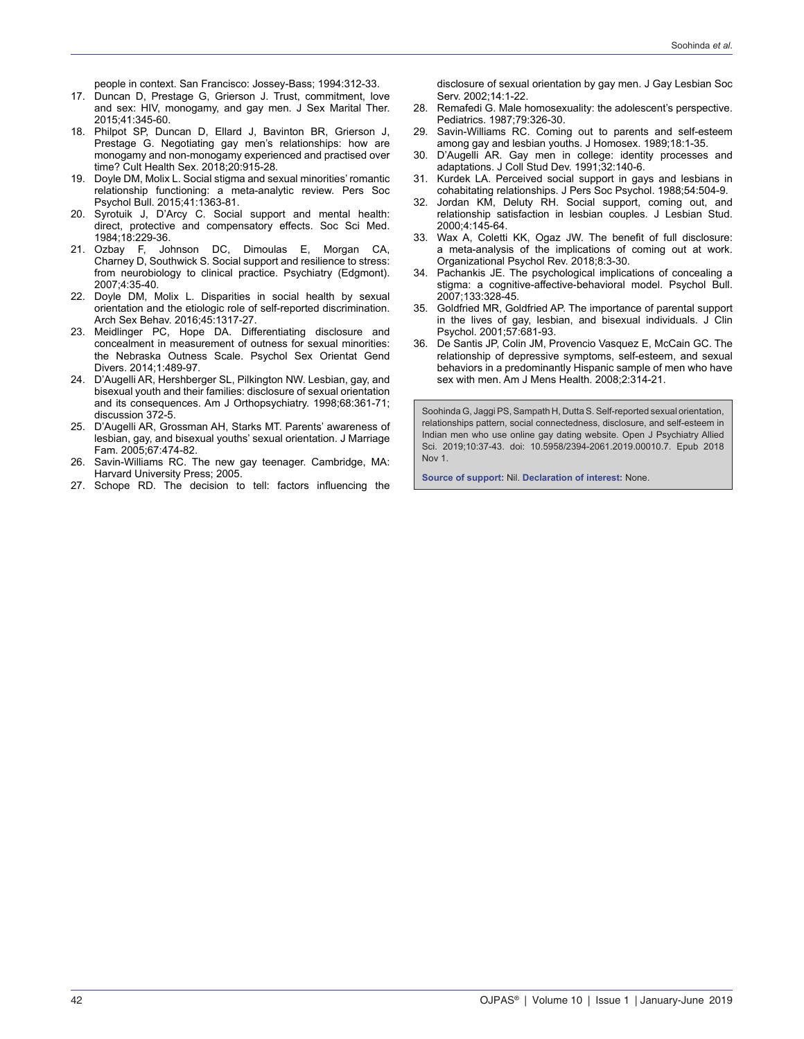people in context. San Francisco: Jossey-Bass; 1994:312-33.

- 17. Duncan D, Prestage G, Grierson J. Trust, commitment, love and sex: HIV, monogamy, and gay men. J Sex Marital Ther. 2015;41:345-60.
- 18. Philpot SP, Duncan D, Ellard J, Bavinton BR, Grierson J, Prestage G. Negotiating gay men's relationships: how are monogamy and non-monogamy experienced and practised over time? Cult Health Sex. 2018;20:915-28.
- 19. Doyle DM, Molix L. Social stigma and sexual minorities' romantic relationship functioning: a meta-analytic review. Pers Soc Psychol Bull. 2015;41:1363-81.
- 20. Syrotuik J, D'Arcy C. Social support and mental health: direct, protective and compensatory effects. Soc Sci Med. 1984;18:229-36.
- 21. Ozbay F, Johnson DC, Dimoulas E, Morgan CA, Charney D, Southwick S. Social support and resilience to stress: from neurobiology to clinical practice. Psychiatry (Edgmont). 2007;4:35-40.
- 22. Doyle DM, Molix L. Disparities in social health by sexual orientation and the etiologic role of self-reported discrimination. Arch Sex Behav. 2016;45:1317-27.
- 23. Meidlinger PC, Hope DA. Differentiating disclosure and concealment in measurement of outness for sexual minorities: the Nebraska Outness Scale. Psychol Sex Orientat Gend Divers. 2014;1:489-97.
- 24. D'Augelli AR, Hershberger SL, Pilkington NW. Lesbian, gay, and bisexual youth and their families: disclosure of sexual orientation and its consequences. Am J Orthopsychiatry. 1998;68:361-71; discussion 372-5.
- 25. D'Augelli AR, Grossman AH, Starks MT. Parents' awareness of lesbian, gay, and bisexual youths' sexual orientation. J Marriage Fam. 2005;67:474-82.
- 26. Savin-Williams RC. The new gay teenager. Cambridge, MA: Harvard University Press; 2005.
- 27. Schope RD. The decision to tell: factors influencing the

disclosure of sexual orientation by gay men. J Gay Lesbian Soc Serv. 2002;14:1-22.

- 28. Remafedi G. Male homosexuality: the adolescent's perspective. Pediatrics. 1987;79:326-30.
- 29. Savin-Williams RC. Coming out to parents and self-esteem among gay and lesbian youths. J Homosex. 1989;18:1-35.
- 30. D'Augelli AR. Gay men in college: identity processes and adaptations. J Coll Stud Dev. 1991;32:140-6.
- 31. Kurdek LA. Perceived social support in gays and lesbians in cohabitating relationships. J Pers Soc Psychol. 1988;54:504-9.
- 32. Jordan KM, Deluty RH. Social support, coming out, and relationship satisfaction in lesbian couples. J Lesbian Stud. 2000;4:145-64.
- 33. Wax A, Coletti KK, Ogaz JW. The benefit of full disclosure: a meta-analysis of the implications of coming out at work. Organizational Psychol Rev. 2018;8:3-30.
- 34. Pachankis JE. The psychological implications of concealing a stigma: a cognitive-affective-behavioral model. Psychol Bull. 2007;133:328-45.
- 35. Goldfried MR, Goldfried AP. The importance of parental support in the lives of gay, lesbian, and bisexual individuals. J Clin Psychol. 2001;57:681-93.
- 36. De Santis JP, Colin JM, Provencio Vasquez E, McCain GC. The relationship of depressive symptoms, self-esteem, and sexual behaviors in a predominantly Hispanic sample of men who have sex with men. Am J Mens Health. 2008;2:314-21.

Soohinda G, Jaggi PS, Sampath H, Dutta S. Self-reported sexual orientation, relationships pattern, social connectedness, disclosure, and self-esteem in Indian men who use online gay dating website. Open J Psychiatry Allied Sci. 2019;10:37-43. doi: 10.5958/2394-2061.2019.00010.7. Epub 2018 Nov 1.

**Source of support:** Nil. **Declaration of interest:** None.